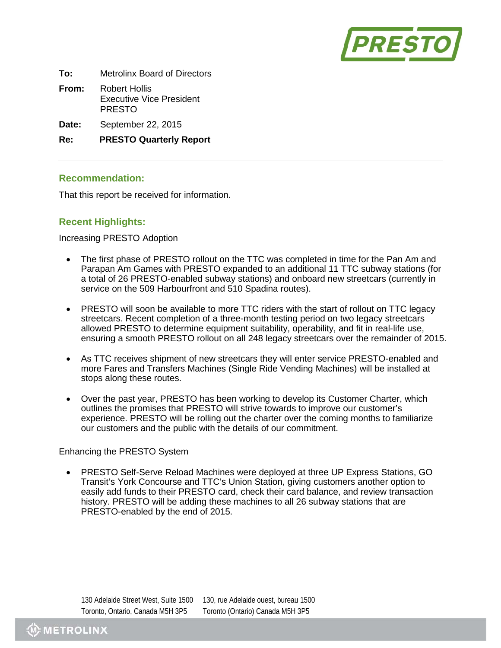

| To: | <b>Metrolinx Board of Directors</b> |
|-----|-------------------------------------|
|     |                                     |

- **From:** Robert Hollis Executive Vice President PRESTO
- **Date:** September 22, 2015

**Re: PRESTO Quarterly Report**

### **Recommendation:**

That this report be received for information.

# **Recent Highlights:**

Increasing PRESTO Adoption

- The first phase of PRESTO rollout on the TTC was completed in time for the Pan Am and Parapan Am Games with PRESTO expanded to an additional 11 TTC subway stations (for a total of 26 PRESTO-enabled subway stations) and onboard new streetcars (currently in service on the 509 Harbourfront and 510 Spadina routes).
- PRESTO will soon be available to more TTC riders with the start of rollout on TTC legacy streetcars. Recent completion of a three-month testing period on two legacy streetcars allowed PRESTO to determine equipment suitability, operability, and fit in real-life use, ensuring a smooth PRESTO rollout on all 248 legacy streetcars over the remainder of 2015.
- As TTC receives shipment of new streetcars they will enter service PRESTO-enabled and more Fares and Transfers Machines (Single Ride Vending Machines) will be installed at stops along these routes.
- Over the past year, PRESTO has been working to develop its Customer Charter, which outlines the promises that PRESTO will strive towards to improve our customer's experience. PRESTO will be rolling out the charter over the coming months to familiarize our customers and the public with the details of our commitment.

#### Enhancing the PRESTO System

• PRESTO Self-Serve Reload Machines were deployed at three UP Express Stations, GO Transit's York Concourse and TTC's Union Station, giving customers another option to easily add funds to their PRESTO card, check their card balance, and review transaction history. PRESTO will be adding these machines to all 26 subway stations that are PRESTO-enabled by the end of 2015.